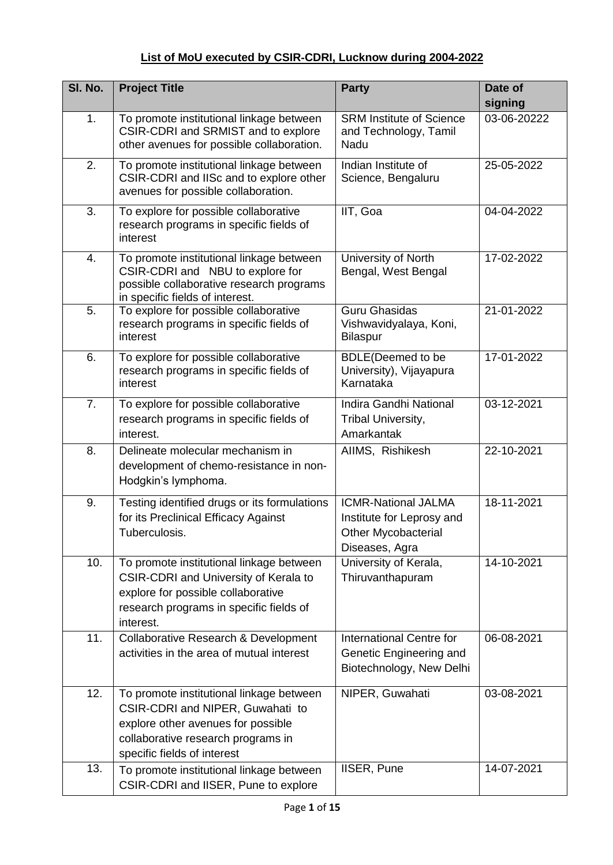## **List of MoU executed by CSIR**‐**CDRI, Lucknow during 2004-2022**

| SI. No. | <b>Project Title</b>                                                                                                                                                                    | <b>Party</b>                                                                                            | Date of<br>signing |
|---------|-----------------------------------------------------------------------------------------------------------------------------------------------------------------------------------------|---------------------------------------------------------------------------------------------------------|--------------------|
| 1.      | To promote institutional linkage between<br>CSIR-CDRI and SRMIST and to explore<br>other avenues for possible collaboration.                                                            | <b>SRM Institute of Science</b><br>and Technology, Tamil<br>Nadu                                        | 03-06-20222        |
| 2.      | To promote institutional linkage between<br>CSIR-CDRI and IISc and to explore other<br>avenues for possible collaboration.                                                              | Indian Institute of<br>Science, Bengaluru                                                               | 25-05-2022         |
| 3.      | To explore for possible collaborative<br>research programs in specific fields of<br>interest                                                                                            | IIT, Goa                                                                                                | 04-04-2022         |
| 4.      | To promote institutional linkage between<br>CSIR-CDRI and NBU to explore for<br>possible collaborative research programs<br>in specific fields of interest.                             | University of North<br>Bengal, West Bengal                                                              | 17-02-2022         |
| 5.      | To explore for possible collaborative<br>research programs in specific fields of<br>interest                                                                                            | <b>Guru Ghasidas</b><br>Vishwavidyalaya, Koni,<br><b>Bilaspur</b>                                       | 21-01-2022         |
| 6.      | To explore for possible collaborative<br>research programs in specific fields of<br>interest                                                                                            | <b>BDLE(Deemed to be</b><br>University), Vijayapura<br>Karnataka                                        | 17-01-2022         |
| 7.      | To explore for possible collaborative<br>research programs in specific fields of<br>interest.                                                                                           | Indira Gandhi National<br>Tribal University,<br>Amarkantak                                              | 03-12-2021         |
| 8.      | Delineate molecular mechanism in<br>development of chemo-resistance in non-<br>Hodgkin's lymphoma.                                                                                      | AIIMS, Rishikesh                                                                                        | 22-10-2021         |
| 9.      | Testing identified drugs or its formulations<br>for its Preclinical Efficacy Against<br>Tuberculosis.                                                                                   | <b>ICMR-National JALMA</b><br>Institute for Leprosy and<br><b>Other Mycobacterial</b><br>Diseases, Agra | 18-11-2021         |
| 10.     | To promote institutional linkage between<br><b>CSIR-CDRI and University of Kerala to</b><br>explore for possible collaborative<br>research programs in specific fields of<br>interest.  | University of Kerala,<br>Thiruvanthapuram                                                               | 14-10-2021         |
| 11.     | Collaborative Research & Development<br>activities in the area of mutual interest                                                                                                       | International Centre for<br>Genetic Engineering and<br>Biotechnology, New Delhi                         | 06-08-2021         |
| 12.     | To promote institutional linkage between<br>CSIR-CDRI and NIPER, Guwahati to<br>explore other avenues for possible<br>collaborative research programs in<br>specific fields of interest | NIPER, Guwahati                                                                                         | 03-08-2021         |
| 13.     | To promote institutional linkage between<br>CSIR-CDRI and IISER, Pune to explore                                                                                                        | IISER, Pune                                                                                             | 14-07-2021         |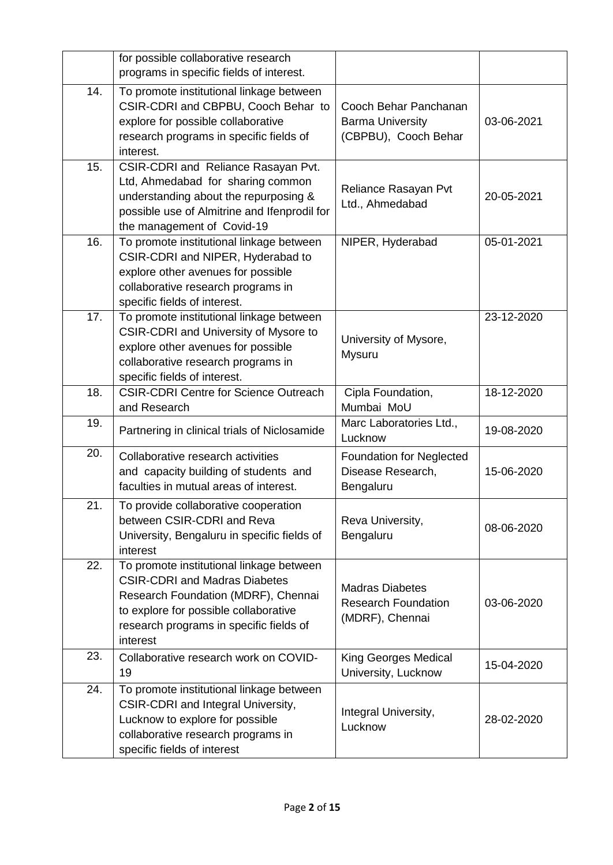|     | for possible collaborative research<br>programs in specific fields of interest.                                                                                                                                         |                                                                          |            |
|-----|-------------------------------------------------------------------------------------------------------------------------------------------------------------------------------------------------------------------------|--------------------------------------------------------------------------|------------|
| 14. | To promote institutional linkage between<br>CSIR-CDRI and CBPBU, Cooch Behar to<br>explore for possible collaborative<br>research programs in specific fields of<br>interest.                                           | Cooch Behar Panchanan<br><b>Barma University</b><br>(CBPBU), Cooch Behar | 03-06-2021 |
| 15. | CSIR-CDRI and Reliance Rasayan Pvt.<br>Ltd, Ahmedabad for sharing common<br>understanding about the repurposing &<br>possible use of Almitrine and Ifenprodil for<br>the management of Covid-19                         | Reliance Rasayan Pvt<br>Ltd., Ahmedabad                                  | 20-05-2021 |
| 16. | To promote institutional linkage between<br>CSIR-CDRI and NIPER, Hyderabad to<br>explore other avenues for possible<br>collaborative research programs in<br>specific fields of interest.                               | NIPER, Hyderabad                                                         | 05-01-2021 |
| 17. | To promote institutional linkage between<br><b>CSIR-CDRI and University of Mysore to</b><br>explore other avenues for possible<br>collaborative research programs in<br>specific fields of interest.                    | University of Mysore,<br>Mysuru                                          | 23-12-2020 |
| 18. | <b>CSIR-CDRI Centre for Science Outreach</b><br>and Research                                                                                                                                                            | Cipla Foundation,<br>Mumbai MoU                                          | 18-12-2020 |
| 19. | Partnering in clinical trials of Niclosamide                                                                                                                                                                            | Marc Laboratories Ltd.,<br>Lucknow                                       | 19-08-2020 |
| 20. | Collaborative research activities<br>and capacity building of students and<br>faculties in mutual areas of interest.                                                                                                    | <b>Foundation for Neglected</b><br>Disease Research,<br>Bengaluru        | 15-06-2020 |
| 21. | To provide collaborative cooperation<br>between CSIR-CDRI and Reva<br>University, Bengaluru in specific fields of<br>interest                                                                                           | Reva University,<br>Bengaluru                                            | 08-06-2020 |
| 22. | To promote institutional linkage between<br><b>CSIR-CDRI and Madras Diabetes</b><br>Research Foundation (MDRF), Chennai<br>to explore for possible collaborative<br>research programs in specific fields of<br>interest | <b>Madras Diabetes</b><br><b>Research Foundation</b><br>(MDRF), Chennai  | 03-06-2020 |
| 23. | Collaborative research work on COVID-<br>19                                                                                                                                                                             | King Georges Medical<br>University, Lucknow                              | 15-04-2020 |
| 24. | To promote institutional linkage between<br>CSIR-CDRI and Integral University,<br>Lucknow to explore for possible<br>collaborative research programs in<br>specific fields of interest                                  | Integral University,<br>Lucknow                                          | 28-02-2020 |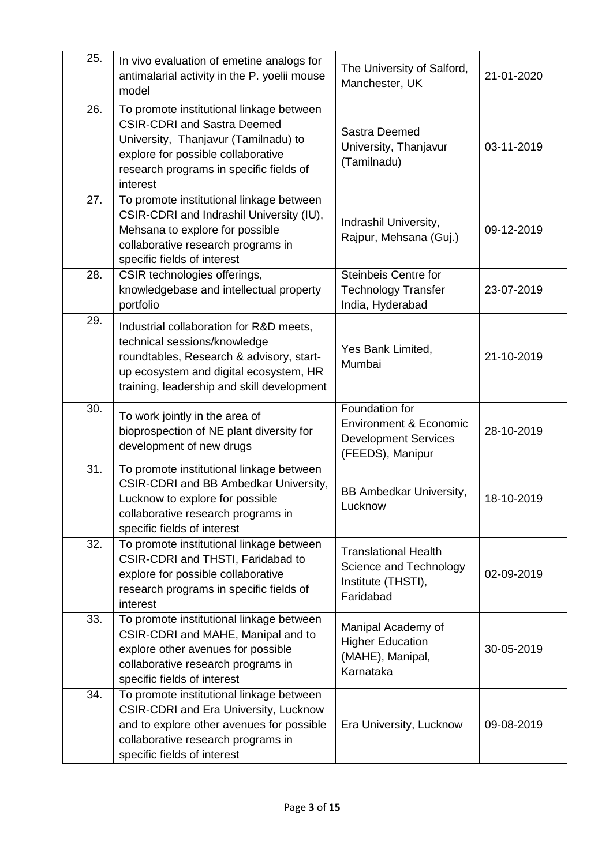| 25. | In vivo evaluation of emetine analogs for<br>antimalarial activity in the P. yoelii mouse<br>model                                                                                                                  | The University of Salford,<br>Manchester, UK                                                           | 21-01-2020 |
|-----|---------------------------------------------------------------------------------------------------------------------------------------------------------------------------------------------------------------------|--------------------------------------------------------------------------------------------------------|------------|
| 26. | To promote institutional linkage between<br><b>CSIR-CDRI and Sastra Deemed</b><br>University, Thanjavur (Tamilnadu) to<br>explore for possible collaborative<br>research programs in specific fields of<br>interest | Sastra Deemed<br>University, Thanjavur<br>(Tamilnadu)                                                  | 03-11-2019 |
| 27. | To promote institutional linkage between<br>CSIR-CDRI and Indrashil University (IU),<br>Mehsana to explore for possible<br>collaborative research programs in<br>specific fields of interest                        | Indrashil University,<br>Rajpur, Mehsana (Guj.)                                                        | 09-12-2019 |
| 28. | CSIR technologies offerings,<br>knowledgebase and intellectual property<br>portfolio                                                                                                                                | <b>Steinbeis Centre for</b><br><b>Technology Transfer</b><br>India, Hyderabad                          | 23-07-2019 |
| 29. | Industrial collaboration for R&D meets,<br>technical sessions/knowledge<br>roundtables, Research & advisory, start-<br>up ecosystem and digital ecosystem, HR<br>training, leadership and skill development         | Yes Bank Limited,<br>Mumbai                                                                            | 21-10-2019 |
| 30. | To work jointly in the area of<br>bioprospection of NE plant diversity for<br>development of new drugs                                                                                                              | Foundation for<br><b>Environment &amp; Economic</b><br><b>Development Services</b><br>(FEEDS), Manipur | 28-10-2019 |
| 31. | To promote institutional linkage between<br>CSIR-CDRI and BB Ambedkar University,<br>Lucknow to explore for possible<br>collaborative research programs in<br>specific fields of interest                           | <b>BB Ambedkar University,</b><br>Lucknow                                                              | 18-10-2019 |
| 32. | To promote institutional linkage between<br>CSIR-CDRI and THSTI, Faridabad to<br>explore for possible collaborative<br>research programs in specific fields of<br>interest                                          | <b>Translational Health</b><br>Science and Technology<br>Institute (THSTI),<br>Faridabad               | 02-09-2019 |
| 33. | To promote institutional linkage between<br>CSIR-CDRI and MAHE, Manipal and to<br>explore other avenues for possible<br>collaborative research programs in<br>specific fields of interest                           | Manipal Academy of<br><b>Higher Education</b><br>(MAHE), Manipal,<br>Karnataka                         | 30-05-2019 |
| 34. | To promote institutional linkage between<br><b>CSIR-CDRI and Era University, Lucknow</b><br>and to explore other avenues for possible<br>collaborative research programs in<br>specific fields of interest          | Era University, Lucknow                                                                                | 09-08-2019 |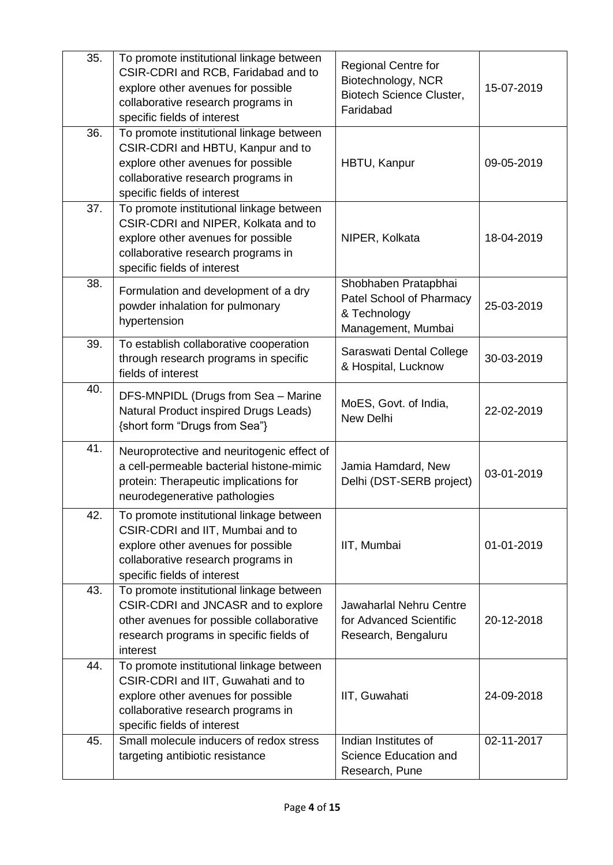| $\overline{35}$ . | To promote institutional linkage between<br>CSIR-CDRI and RCB, Faridabad and to<br>explore other avenues for possible<br>collaborative research programs in<br>specific fields of interest | <b>Regional Centre for</b><br>Biotechnology, NCR<br><b>Biotech Science Cluster,</b><br>Faridabad | 15-07-2019 |
|-------------------|--------------------------------------------------------------------------------------------------------------------------------------------------------------------------------------------|--------------------------------------------------------------------------------------------------|------------|
| 36.               | To promote institutional linkage between<br>CSIR-CDRI and HBTU, Kanpur and to<br>explore other avenues for possible<br>collaborative research programs in<br>specific fields of interest   | HBTU, Kanpur                                                                                     | 09-05-2019 |
| 37.               | To promote institutional linkage between<br>CSIR-CDRI and NIPER, Kolkata and to<br>explore other avenues for possible<br>collaborative research programs in<br>specific fields of interest | NIPER, Kolkata                                                                                   | 18-04-2019 |
| 38.               | Formulation and development of a dry<br>powder inhalation for pulmonary<br>hypertension                                                                                                    | Shobhaben Pratapbhai<br>Patel School of Pharmacy<br>& Technology<br>Management, Mumbai           | 25-03-2019 |
| 39.               | To establish collaborative cooperation<br>through research programs in specific<br>fields of interest                                                                                      | Saraswati Dental College<br>& Hospital, Lucknow                                                  | 30-03-2019 |
| 40.               | DFS-MNPIDL (Drugs from Sea - Marine<br>Natural Product inspired Drugs Leads)<br>{short form "Drugs from Sea"}                                                                              | MoES, Govt. of India,<br>New Delhi                                                               | 22-02-2019 |
| 41.               | Neuroprotective and neuritogenic effect of<br>a cell-permeable bacterial histone-mimic<br>protein: Therapeutic implications for<br>neurodegenerative pathologies                           | Jamia Hamdard, New<br>Delhi (DST-SERB project)                                                   | 03-01-2019 |
| 42.               | To promote institutional linkage between<br>CSIR-CDRI and IIT, Mumbai and to<br>explore other avenues for possible<br>collaborative research programs in<br>specific fields of interest    | IIT, Mumbai                                                                                      | 01-01-2019 |
| 43.               | To promote institutional linkage between<br>CSIR-CDRI and JNCASR and to explore<br>other avenues for possible collaborative<br>research programs in specific fields of<br>interest         | <b>Jawaharlal Nehru Centre</b><br>for Advanced Scientific<br>Research, Bengaluru                 | 20-12-2018 |
| 44.               | To promote institutional linkage between<br>CSIR-CDRI and IIT, Guwahati and to<br>explore other avenues for possible<br>collaborative research programs in<br>specific fields of interest  | IIT, Guwahati                                                                                    | 24-09-2018 |
| 45.               | Small molecule inducers of redox stress<br>targeting antibiotic resistance                                                                                                                 | Indian Institutes of<br>Science Education and<br>Research, Pune                                  | 02-11-2017 |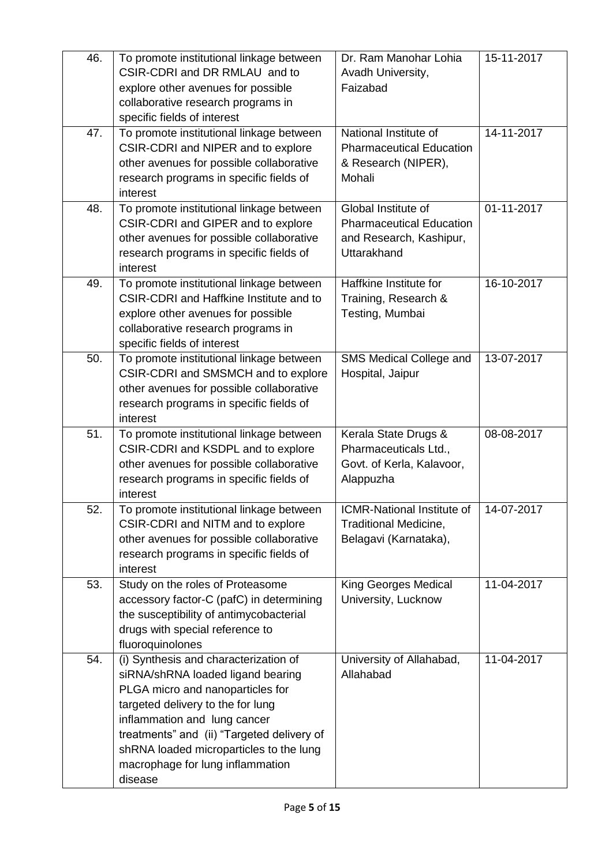| 46. | To promote institutional linkage between<br>CSIR-CDRI and DR RMLAU and to<br>explore other avenues for possible<br>collaborative research programs in<br>specific fields of interest                                                                                                                                        | Dr. Ram Manohar Lohia<br>Avadh University,<br>Faizabad                                           | 15-11-2017 |
|-----|-----------------------------------------------------------------------------------------------------------------------------------------------------------------------------------------------------------------------------------------------------------------------------------------------------------------------------|--------------------------------------------------------------------------------------------------|------------|
| 47. | To promote institutional linkage between<br>CSIR-CDRI and NIPER and to explore<br>other avenues for possible collaborative<br>research programs in specific fields of<br>interest                                                                                                                                           | National Institute of<br><b>Pharmaceutical Education</b><br>& Research (NIPER),<br>Mohali        | 14-11-2017 |
| 48. | To promote institutional linkage between<br>CSIR-CDRI and GIPER and to explore<br>other avenues for possible collaborative<br>research programs in specific fields of<br>interest                                                                                                                                           | Global Institute of<br><b>Pharmaceutical Education</b><br>and Research, Kashipur,<br>Uttarakhand | 01-11-2017 |
| 49. | To promote institutional linkage between<br><b>CSIR-CDRI and Haffkine Institute and to</b><br>explore other avenues for possible<br>collaborative research programs in<br>specific fields of interest                                                                                                                       | Haffkine Institute for<br>Training, Research &<br>Testing, Mumbai                                | 16-10-2017 |
| 50. | To promote institutional linkage between<br>CSIR-CDRI and SMSMCH and to explore<br>other avenues for possible collaborative<br>research programs in specific fields of<br>interest                                                                                                                                          | SMS Medical College and<br>Hospital, Jaipur                                                      | 13-07-2017 |
| 51. | To promote institutional linkage between<br>CSIR-CDRI and KSDPL and to explore<br>other avenues for possible collaborative<br>research programs in specific fields of<br>interest                                                                                                                                           | Kerala State Drugs &<br>Pharmaceuticals Ltd.,<br>Govt. of Kerla, Kalavoor,<br>Alappuzha          | 08-08-2017 |
| 52. | To promote institutional linkage between<br>CSIR-CDRI and NITM and to explore<br>other avenues for possible collaborative<br>research programs in specific fields of<br>interest                                                                                                                                            | ICMR-National Institute of   14-07-2017<br>Traditional Medicine,<br>Belagavi (Karnataka),        |            |
| 53. | Study on the roles of Proteasome<br>accessory factor-C (pafC) in determining<br>the susceptibility of antimycobacterial<br>drugs with special reference to<br>fluoroquinolones                                                                                                                                              | King Georges Medical<br>University, Lucknow                                                      | 11-04-2017 |
| 54. | (i) Synthesis and characterization of<br>siRNA/shRNA loaded ligand bearing<br>PLGA micro and nanoparticles for<br>targeted delivery to the for lung<br>inflammation and lung cancer<br>treatments" and (ii) "Targeted delivery of<br>shRNA loaded microparticles to the lung<br>macrophage for lung inflammation<br>disease | University of Allahabad,<br>Allahabad                                                            | 11-04-2017 |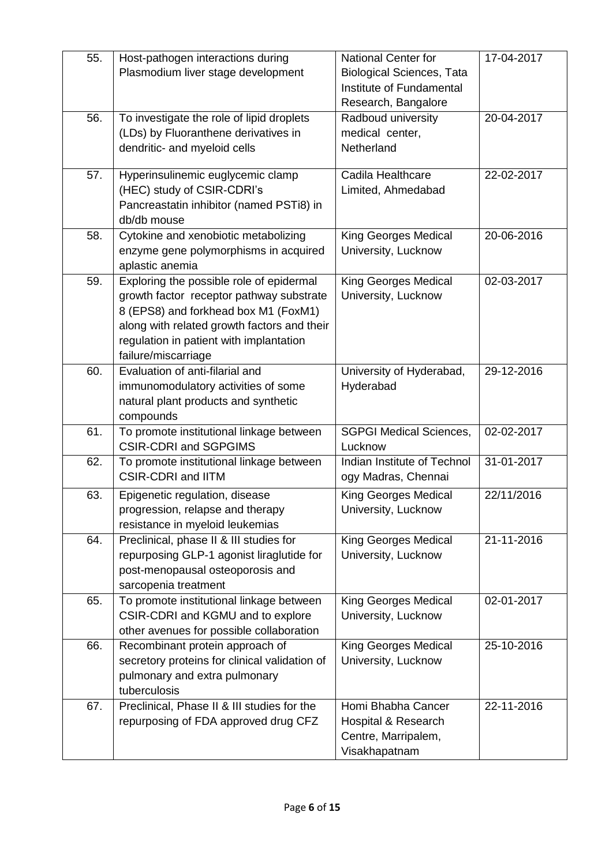| 55. | Host-pathogen interactions during                     | <b>National Center for</b>       | 17-04-2017 |
|-----|-------------------------------------------------------|----------------------------------|------------|
|     | Plasmodium liver stage development                    | <b>Biological Sciences, Tata</b> |            |
|     |                                                       | Institute of Fundamental         |            |
|     |                                                       | Research, Bangalore              |            |
| 56. | To investigate the role of lipid droplets             | Radboud university               | 20-04-2017 |
|     | (LDs) by Fluoranthene derivatives in                  | medical center,                  |            |
|     | dendritic- and myeloid cells                          | Netherland                       |            |
|     |                                                       |                                  |            |
| 57. | Hyperinsulinemic euglycemic clamp                     | Cadila Healthcare                | 22-02-2017 |
|     | (HEC) study of CSIR-CDRI's                            | Limited, Ahmedabad               |            |
|     | Pancreastatin inhibitor (named PSTi8) in              |                                  |            |
|     | db/db mouse                                           |                                  |            |
| 58. | Cytokine and xenobiotic metabolizing                  | King Georges Medical             | 20-06-2016 |
|     | enzyme gene polymorphisms in acquired                 | University, Lucknow              |            |
|     | aplastic anemia                                       |                                  |            |
| 59. | Exploring the possible role of epidermal              | King Georges Medical             | 02-03-2017 |
|     | growth factor receptor pathway substrate              | University, Lucknow              |            |
|     | 8 (EPS8) and forkhead box M1 (FoxM1)                  |                                  |            |
|     | along with related growth factors and their           |                                  |            |
|     | regulation in patient with implantation               |                                  |            |
|     | failure/miscarriage                                   |                                  |            |
| 60. | Evaluation of anti-filarial and                       | University of Hyderabad,         | 29-12-2016 |
|     | immunomodulatory activities of some                   | Hyderabad                        |            |
|     | natural plant products and synthetic                  |                                  |            |
| 61. | compounds<br>To promote institutional linkage between | <b>SGPGI Medical Sciences,</b>   | 02-02-2017 |
|     | <b>CSIR-CDRI and SGPGIMS</b>                          | Lucknow                          |            |
| 62. | To promote institutional linkage between              | Indian Institute of Technol      | 31-01-2017 |
|     | <b>CSIR-CDRI and IITM</b>                             | ogy Madras, Chennai              |            |
| 63. | Epigenetic regulation, disease                        | King Georges Medical             | 22/11/2016 |
|     | progression, relapse and therapy                      | University, Lucknow              |            |
|     | resistance in myeloid leukemias                       |                                  |            |
| 64. | Preclinical, phase II & III studies for               | <b>King Georges Medical</b>      | 21-11-2016 |
|     | repurposing GLP-1 agonist liraglutide for             | University, Lucknow              |            |
|     | post-menopausal osteoporosis and                      |                                  |            |
|     | sarcopenia treatment                                  |                                  |            |
| 65. | To promote institutional linkage between              | King Georges Medical             | 02-01-2017 |
|     | CSIR-CDRI and KGMU and to explore                     | University, Lucknow              |            |
|     | other avenues for possible collaboration              |                                  |            |
| 66. | Recombinant protein approach of                       | King Georges Medical             | 25-10-2016 |
|     | secretory proteins for clinical validation of         | University, Lucknow              |            |
|     | pulmonary and extra pulmonary                         |                                  |            |
|     | tuberculosis                                          |                                  |            |
| 67. | Preclinical, Phase II & III studies for the           | Homi Bhabha Cancer               | 22-11-2016 |
|     | repurposing of FDA approved drug CFZ                  | Hospital & Research              |            |
|     |                                                       | Centre, Marripalem,              |            |
|     |                                                       | Visakhapatnam                    |            |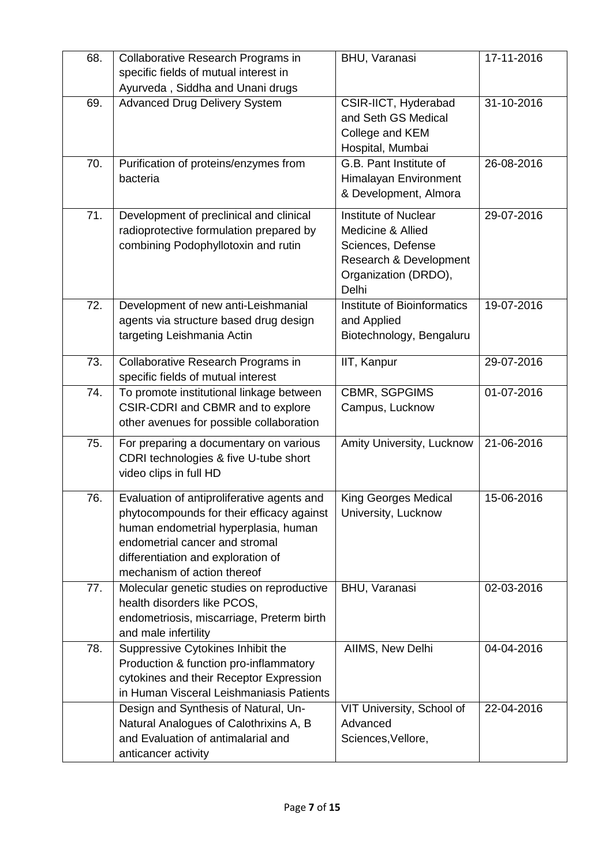| 68. | Collaborative Research Programs in                                                                                                                                                                                                     | BHU, Varanasi                                                                                                             | 17-11-2016 |
|-----|----------------------------------------------------------------------------------------------------------------------------------------------------------------------------------------------------------------------------------------|---------------------------------------------------------------------------------------------------------------------------|------------|
|     | specific fields of mutual interest in<br>Ayurveda, Siddha and Unani drugs                                                                                                                                                              |                                                                                                                           |            |
| 69. | <b>Advanced Drug Delivery System</b>                                                                                                                                                                                                   | CSIR-IICT, Hyderabad<br>and Seth GS Medical<br>College and KEM<br>Hospital, Mumbai                                        | 31-10-2016 |
| 70. | Purification of proteins/enzymes from<br>bacteria                                                                                                                                                                                      | G.B. Pant Institute of<br>Himalayan Environment<br>& Development, Almora                                                  | 26-08-2016 |
| 71. | Development of preclinical and clinical<br>radioprotective formulation prepared by<br>combining Podophyllotoxin and rutin                                                                                                              | Institute of Nuclear<br>Medicine & Allied<br>Sciences, Defense<br>Research & Development<br>Organization (DRDO),<br>Delhi | 29-07-2016 |
| 72. | Development of new anti-Leishmanial<br>agents via structure based drug design<br>targeting Leishmania Actin                                                                                                                            | Institute of Bioinformatics<br>and Applied<br>Biotechnology, Bengaluru                                                    | 19-07-2016 |
| 73. | Collaborative Research Programs in<br>specific fields of mutual interest                                                                                                                                                               | IIT, Kanpur                                                                                                               | 29-07-2016 |
| 74. | To promote institutional linkage between<br>CSIR-CDRI and CBMR and to explore<br>other avenues for possible collaboration                                                                                                              | CBMR, SGPGIMS<br>Campus, Lucknow                                                                                          | 01-07-2016 |
| 75. | For preparing a documentary on various<br>CDRI technologies & five U-tube short<br>video clips in full HD                                                                                                                              | Amity University, Lucknow                                                                                                 | 21-06-2016 |
| 76. | Evaluation of antiproliferative agents and<br>phytocompounds for their efficacy against<br>human endometrial hyperplasia, human<br>endometrial cancer and stromal<br>differentiation and exploration of<br>mechanism of action thereof | King Georges Medical<br>University, Lucknow                                                                               | 15-06-2016 |
| 77. | Molecular genetic studies on reproductive<br>health disorders like PCOS,<br>endometriosis, miscarriage, Preterm birth<br>and male infertility                                                                                          | <b>BHU, Varanasi</b>                                                                                                      | 02-03-2016 |
| 78. | Suppressive Cytokines Inhibit the<br>Production & function pro-inflammatory<br>cytokines and their Receptor Expression<br>in Human Visceral Leishmaniasis Patients                                                                     | AIIMS, New Delhi                                                                                                          | 04-04-2016 |
|     | Design and Synthesis of Natural, Un-<br>Natural Analogues of Calothrixins A, B<br>and Evaluation of antimalarial and<br>anticancer activity                                                                                            | VIT University, School of<br>Advanced<br>Sciences, Vellore,                                                               | 22-04-2016 |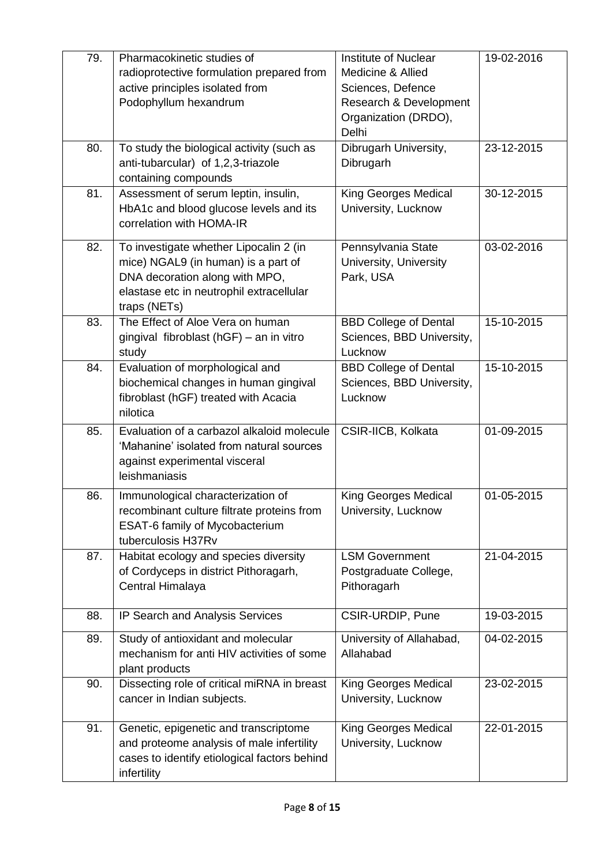| Pharmacokinetic studies of                   | Institute of Nuclear                                                                                                                                                                                                                                                                                                                                                                                                                                                                                                                                                                                                                                                                                                                                                                                                             | 19-02-2016                                                                                                                                                                                                                                                                                                                                                                                                      |
|----------------------------------------------|----------------------------------------------------------------------------------------------------------------------------------------------------------------------------------------------------------------------------------------------------------------------------------------------------------------------------------------------------------------------------------------------------------------------------------------------------------------------------------------------------------------------------------------------------------------------------------------------------------------------------------------------------------------------------------------------------------------------------------------------------------------------------------------------------------------------------------|-----------------------------------------------------------------------------------------------------------------------------------------------------------------------------------------------------------------------------------------------------------------------------------------------------------------------------------------------------------------------------------------------------------------|
|                                              | Medicine & Allied                                                                                                                                                                                                                                                                                                                                                                                                                                                                                                                                                                                                                                                                                                                                                                                                                |                                                                                                                                                                                                                                                                                                                                                                                                                 |
|                                              |                                                                                                                                                                                                                                                                                                                                                                                                                                                                                                                                                                                                                                                                                                                                                                                                                                  |                                                                                                                                                                                                                                                                                                                                                                                                                 |
|                                              |                                                                                                                                                                                                                                                                                                                                                                                                                                                                                                                                                                                                                                                                                                                                                                                                                                  |                                                                                                                                                                                                                                                                                                                                                                                                                 |
|                                              |                                                                                                                                                                                                                                                                                                                                                                                                                                                                                                                                                                                                                                                                                                                                                                                                                                  |                                                                                                                                                                                                                                                                                                                                                                                                                 |
|                                              | Delhi                                                                                                                                                                                                                                                                                                                                                                                                                                                                                                                                                                                                                                                                                                                                                                                                                            |                                                                                                                                                                                                                                                                                                                                                                                                                 |
| To study the biological activity (such as    | Dibrugarh University,                                                                                                                                                                                                                                                                                                                                                                                                                                                                                                                                                                                                                                                                                                                                                                                                            | 23-12-2015                                                                                                                                                                                                                                                                                                                                                                                                      |
| anti-tubarcular) of 1,2,3-triazole           | Dibrugarh                                                                                                                                                                                                                                                                                                                                                                                                                                                                                                                                                                                                                                                                                                                                                                                                                        |                                                                                                                                                                                                                                                                                                                                                                                                                 |
| containing compounds                         |                                                                                                                                                                                                                                                                                                                                                                                                                                                                                                                                                                                                                                                                                                                                                                                                                                  |                                                                                                                                                                                                                                                                                                                                                                                                                 |
|                                              |                                                                                                                                                                                                                                                                                                                                                                                                                                                                                                                                                                                                                                                                                                                                                                                                                                  | 30-12-2015                                                                                                                                                                                                                                                                                                                                                                                                      |
|                                              |                                                                                                                                                                                                                                                                                                                                                                                                                                                                                                                                                                                                                                                                                                                                                                                                                                  |                                                                                                                                                                                                                                                                                                                                                                                                                 |
| correlation with HOMA-IR                     |                                                                                                                                                                                                                                                                                                                                                                                                                                                                                                                                                                                                                                                                                                                                                                                                                                  |                                                                                                                                                                                                                                                                                                                                                                                                                 |
|                                              |                                                                                                                                                                                                                                                                                                                                                                                                                                                                                                                                                                                                                                                                                                                                                                                                                                  |                                                                                                                                                                                                                                                                                                                                                                                                                 |
|                                              |                                                                                                                                                                                                                                                                                                                                                                                                                                                                                                                                                                                                                                                                                                                                                                                                                                  | 03-02-2016                                                                                                                                                                                                                                                                                                                                                                                                      |
|                                              |                                                                                                                                                                                                                                                                                                                                                                                                                                                                                                                                                                                                                                                                                                                                                                                                                                  |                                                                                                                                                                                                                                                                                                                                                                                                                 |
|                                              |                                                                                                                                                                                                                                                                                                                                                                                                                                                                                                                                                                                                                                                                                                                                                                                                                                  |                                                                                                                                                                                                                                                                                                                                                                                                                 |
|                                              |                                                                                                                                                                                                                                                                                                                                                                                                                                                                                                                                                                                                                                                                                                                                                                                                                                  |                                                                                                                                                                                                                                                                                                                                                                                                                 |
|                                              |                                                                                                                                                                                                                                                                                                                                                                                                                                                                                                                                                                                                                                                                                                                                                                                                                                  |                                                                                                                                                                                                                                                                                                                                                                                                                 |
|                                              |                                                                                                                                                                                                                                                                                                                                                                                                                                                                                                                                                                                                                                                                                                                                                                                                                                  | 15-10-2015                                                                                                                                                                                                                                                                                                                                                                                                      |
|                                              |                                                                                                                                                                                                                                                                                                                                                                                                                                                                                                                                                                                                                                                                                                                                                                                                                                  |                                                                                                                                                                                                                                                                                                                                                                                                                 |
|                                              |                                                                                                                                                                                                                                                                                                                                                                                                                                                                                                                                                                                                                                                                                                                                                                                                                                  |                                                                                                                                                                                                                                                                                                                                                                                                                 |
|                                              |                                                                                                                                                                                                                                                                                                                                                                                                                                                                                                                                                                                                                                                                                                                                                                                                                                  | 15-10-2015                                                                                                                                                                                                                                                                                                                                                                                                      |
|                                              |                                                                                                                                                                                                                                                                                                                                                                                                                                                                                                                                                                                                                                                                                                                                                                                                                                  |                                                                                                                                                                                                                                                                                                                                                                                                                 |
|                                              |                                                                                                                                                                                                                                                                                                                                                                                                                                                                                                                                                                                                                                                                                                                                                                                                                                  |                                                                                                                                                                                                                                                                                                                                                                                                                 |
|                                              |                                                                                                                                                                                                                                                                                                                                                                                                                                                                                                                                                                                                                                                                                                                                                                                                                                  |                                                                                                                                                                                                                                                                                                                                                                                                                 |
|                                              |                                                                                                                                                                                                                                                                                                                                                                                                                                                                                                                                                                                                                                                                                                                                                                                                                                  | 01-09-2015                                                                                                                                                                                                                                                                                                                                                                                                      |
|                                              |                                                                                                                                                                                                                                                                                                                                                                                                                                                                                                                                                                                                                                                                                                                                                                                                                                  |                                                                                                                                                                                                                                                                                                                                                                                                                 |
|                                              |                                                                                                                                                                                                                                                                                                                                                                                                                                                                                                                                                                                                                                                                                                                                                                                                                                  |                                                                                                                                                                                                                                                                                                                                                                                                                 |
|                                              |                                                                                                                                                                                                                                                                                                                                                                                                                                                                                                                                                                                                                                                                                                                                                                                                                                  |                                                                                                                                                                                                                                                                                                                                                                                                                 |
| Immunological characterization of            | <b>King Georges Medical</b>                                                                                                                                                                                                                                                                                                                                                                                                                                                                                                                                                                                                                                                                                                                                                                                                      | 01-05-2015                                                                                                                                                                                                                                                                                                                                                                                                      |
| recombinant culture filtrate proteins from   | University, Lucknow                                                                                                                                                                                                                                                                                                                                                                                                                                                                                                                                                                                                                                                                                                                                                                                                              |                                                                                                                                                                                                                                                                                                                                                                                                                 |
| ESAT-6 family of Mycobacterium               |                                                                                                                                                                                                                                                                                                                                                                                                                                                                                                                                                                                                                                                                                                                                                                                                                                  |                                                                                                                                                                                                                                                                                                                                                                                                                 |
| tuberculosis H37Rv                           |                                                                                                                                                                                                                                                                                                                                                                                                                                                                                                                                                                                                                                                                                                                                                                                                                                  |                                                                                                                                                                                                                                                                                                                                                                                                                 |
| Habitat ecology and species diversity        | <b>LSM Government</b>                                                                                                                                                                                                                                                                                                                                                                                                                                                                                                                                                                                                                                                                                                                                                                                                            | 21-04-2015                                                                                                                                                                                                                                                                                                                                                                                                      |
| of Cordyceps in district Pithoragarh,        | Postgraduate College,                                                                                                                                                                                                                                                                                                                                                                                                                                                                                                                                                                                                                                                                                                                                                                                                            |                                                                                                                                                                                                                                                                                                                                                                                                                 |
| Central Himalaya                             | Pithoragarh                                                                                                                                                                                                                                                                                                                                                                                                                                                                                                                                                                                                                                                                                                                                                                                                                      |                                                                                                                                                                                                                                                                                                                                                                                                                 |
|                                              |                                                                                                                                                                                                                                                                                                                                                                                                                                                                                                                                                                                                                                                                                                                                                                                                                                  |                                                                                                                                                                                                                                                                                                                                                                                                                 |
| IP Search and Analysis Services              | CSIR-URDIP, Pune                                                                                                                                                                                                                                                                                                                                                                                                                                                                                                                                                                                                                                                                                                                                                                                                                 | 19-03-2015                                                                                                                                                                                                                                                                                                                                                                                                      |
|                                              |                                                                                                                                                                                                                                                                                                                                                                                                                                                                                                                                                                                                                                                                                                                                                                                                                                  | 04-02-2015                                                                                                                                                                                                                                                                                                                                                                                                      |
| mechanism for anti HIV activities of some    | Allahabad                                                                                                                                                                                                                                                                                                                                                                                                                                                                                                                                                                                                                                                                                                                                                                                                                        |                                                                                                                                                                                                                                                                                                                                                                                                                 |
|                                              |                                                                                                                                                                                                                                                                                                                                                                                                                                                                                                                                                                                                                                                                                                                                                                                                                                  |                                                                                                                                                                                                                                                                                                                                                                                                                 |
| Dissecting role of critical miRNA in breast  | King Georges Medical                                                                                                                                                                                                                                                                                                                                                                                                                                                                                                                                                                                                                                                                                                                                                                                                             | 23-02-2015                                                                                                                                                                                                                                                                                                                                                                                                      |
|                                              |                                                                                                                                                                                                                                                                                                                                                                                                                                                                                                                                                                                                                                                                                                                                                                                                                                  |                                                                                                                                                                                                                                                                                                                                                                                                                 |
|                                              |                                                                                                                                                                                                                                                                                                                                                                                                                                                                                                                                                                                                                                                                                                                                                                                                                                  |                                                                                                                                                                                                                                                                                                                                                                                                                 |
| Genetic, epigenetic and transcriptome        | King Georges Medical                                                                                                                                                                                                                                                                                                                                                                                                                                                                                                                                                                                                                                                                                                                                                                                                             | 22-01-2015                                                                                                                                                                                                                                                                                                                                                                                                      |
| and proteome analysis of male infertility    | University, Lucknow                                                                                                                                                                                                                                                                                                                                                                                                                                                                                                                                                                                                                                                                                                                                                                                                              |                                                                                                                                                                                                                                                                                                                                                                                                                 |
| cases to identify etiological factors behind |                                                                                                                                                                                                                                                                                                                                                                                                                                                                                                                                                                                                                                                                                                                                                                                                                                  |                                                                                                                                                                                                                                                                                                                                                                                                                 |
| infertility                                  |                                                                                                                                                                                                                                                                                                                                                                                                                                                                                                                                                                                                                                                                                                                                                                                                                                  |                                                                                                                                                                                                                                                                                                                                                                                                                 |
|                                              | radioprotective formulation prepared from<br>active principles isolated from<br>Podophyllum hexandrum<br>Assessment of serum leptin, insulin,<br>HbA1c and blood glucose levels and its<br>To investigate whether Lipocalin 2 (in<br>mice) NGAL9 (in human) is a part of<br>DNA decoration along with MPO,<br>elastase etc in neutrophil extracellular<br>traps (NETs)<br>The Effect of Aloe Vera on human<br>gingival fibroblast (hGF) - an in vitro<br>study<br>Evaluation of morphological and<br>biochemical changes in human gingival<br>fibroblast (hGF) treated with Acacia<br>nilotica<br>Evaluation of a carbazol alkaloid molecule<br>'Mahanine' isolated from natural sources<br>against experimental visceral<br>leishmaniasis<br>Study of antioxidant and molecular<br>plant products<br>cancer in Indian subjects. | Sciences, Defence<br>Research & Development<br>Organization (DRDO),<br><b>King Georges Medical</b><br>University, Lucknow<br>Pennsylvania State<br>University, University<br>Park, USA<br><b>BBD College of Dental</b><br>Sciences, BBD University,<br>Lucknow<br><b>BBD College of Dental</b><br>Sciences, BBD University,<br>Lucknow<br>CSIR-IICB, Kolkata<br>University of Allahabad,<br>University, Lucknow |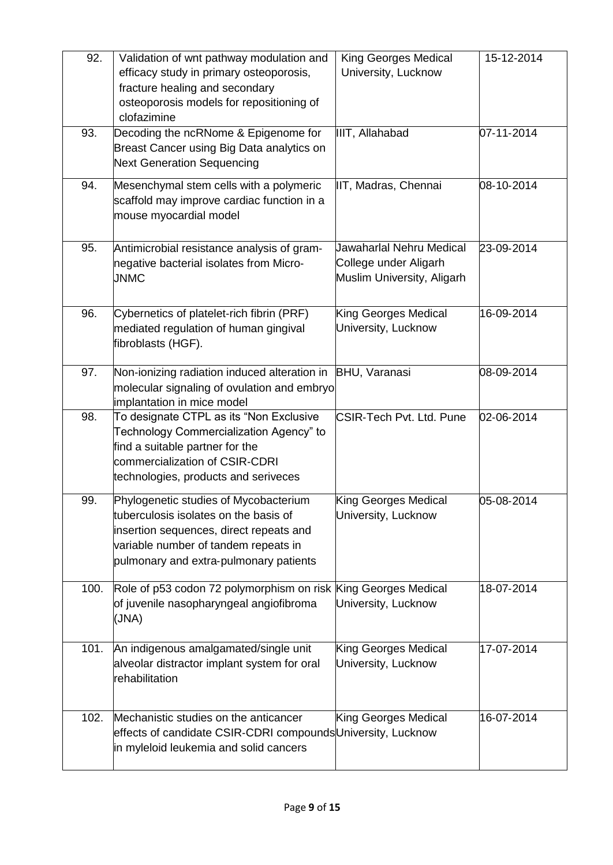| 92.  | Validation of wnt pathway modulation and<br>efficacy study in primary osteoporosis,<br>fracture healing and secondary<br>osteoporosis models for repositioning of<br>clofazimine                            | King Georges Medical<br>University, Lucknow                                     | 15-12-2014 |
|------|-------------------------------------------------------------------------------------------------------------------------------------------------------------------------------------------------------------|---------------------------------------------------------------------------------|------------|
| 93.  | Decoding the ncRNome & Epigenome for<br>Breast Cancer using Big Data analytics on<br><b>Next Generation Sequencing</b>                                                                                      | IIIT, Allahabad                                                                 | 07-11-2014 |
| 94.  | Mesenchymal stem cells with a polymeric<br>scaffold may improve cardiac function in a<br>mouse myocardial model                                                                                             | IIT, Madras, Chennai                                                            | 08-10-2014 |
| 95.  | Antimicrobial resistance analysis of gram-<br>negative bacterial isolates from Micro-<br><b>JNMC</b>                                                                                                        | Jawaharlal Nehru Medical<br>College under Aligarh<br>Muslim University, Aligarh | 23-09-2014 |
| 96.  | Cybernetics of platelet-rich fibrin (PRF)<br>mediated regulation of human gingival<br>fibroblasts (HGF).                                                                                                    | King Georges Medical<br>University, Lucknow                                     | 16-09-2014 |
| 97.  | Non-ionizing radiation induced alteration in<br>molecular signaling of ovulation and embryo<br>implantation in mice model                                                                                   | <b>BHU, Varanasi</b>                                                            | 08-09-2014 |
| 98.  | To designate CTPL as its "Non Exclusive<br>Technology Commercialization Agency" to<br>find a suitable partner for the<br>commercialization of CSIR-CDRI<br>technologies, products and seriveces             | <b>CSIR-Tech Pvt. Ltd. Pune</b>                                                 | 02-06-2014 |
| 99.  | Phylogenetic studies of Mycobacterium<br>tuberculosis isolates on the basis of<br>insertion sequences, direct repeats and<br>variable number of tandem repeats in<br>pulmonary and extra-pulmonary patients | King Georges Medical<br>University, Lucknow                                     | 05-08-2014 |
| 100. | Role of p53 codon 72 polymorphism on risk King Georges Medical<br>of juvenile nasopharyngeal angiofibroma<br>(JNA)                                                                                          | University, Lucknow                                                             | 18-07-2014 |
| 101. | An indigenous amalgamated/single unit<br>alveolar distractor implant system for oral<br>rehabilitation                                                                                                      | King Georges Medical<br>University, Lucknow                                     | 17-07-2014 |
| 102. | Mechanistic studies on the anticancer<br>effects of candidate CSIR-CDRI compounds University, Lucknow<br>in myleloid leukemia and solid cancers                                                             | King Georges Medical                                                            | 16-07-2014 |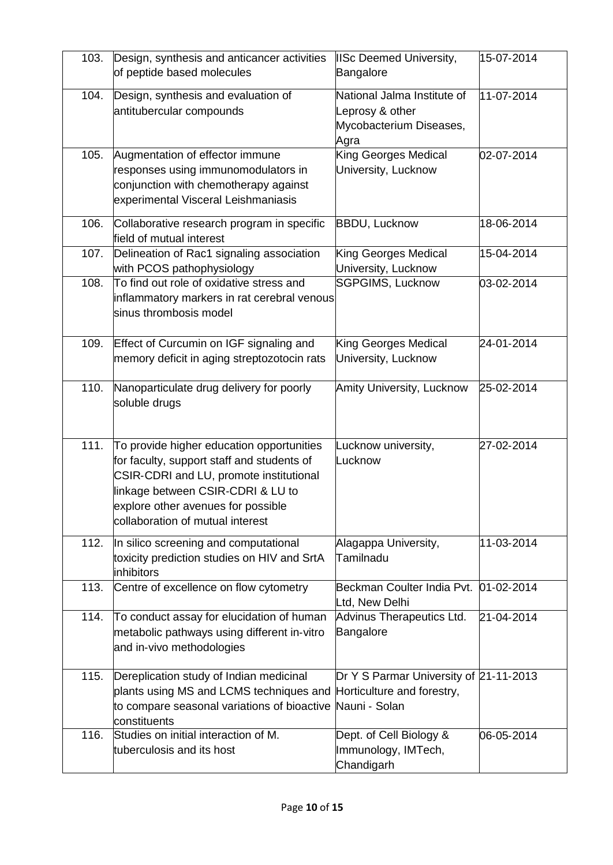| 103. | Design, synthesis and anticancer activities<br>of peptide based molecules                                                                                                                                                                         | <b>IISc Deemed University,</b><br>Bangalore                                       | 15-07-2014       |
|------|---------------------------------------------------------------------------------------------------------------------------------------------------------------------------------------------------------------------------------------------------|-----------------------------------------------------------------------------------|------------------|
| 104. | Design, synthesis and evaluation of<br>antitubercular compounds                                                                                                                                                                                   | National Jalma Institute of<br>Leprosy & other<br>Mycobacterium Diseases,<br>Agra | 11-07-2014       |
| 105. | Augmentation of effector immune<br>responses using immunomodulators in<br>conjunction with chemotherapy against<br>experimental Visceral Leishmaniasis                                                                                            | King Georges Medical<br>University, Lucknow                                       | 02-07-2014       |
| 106. | Collaborative research program in specific<br>field of mutual interest                                                                                                                                                                            | <b>BBDU, Lucknow</b>                                                              | 18-06-2014       |
| 107. | Delineation of Rac1 signaling association<br>with PCOS pathophysiology                                                                                                                                                                            | King Georges Medical<br>University, Lucknow                                       | 15-04-2014       |
| 108. | To find out role of oxidative stress and<br>inflammatory markers in rat cerebral venous<br>sinus thrombosis model                                                                                                                                 | <b>SGPGIMS, Lucknow</b>                                                           | 03-02-2014       |
| 109. | Effect of Curcumin on IGF signaling and<br>memory deficit in aging streptozotocin rats                                                                                                                                                            | King Georges Medical<br>University, Lucknow                                       | 24-01-2014       |
| 110. | Nanoparticulate drug delivery for poorly<br>soluble drugs                                                                                                                                                                                         | Amity University, Lucknow                                                         | 25-02-2014       |
| 111. | To provide higher education opportunities<br>for faculty, support staff and students of<br>CSIR-CDRI and LU, promote institutional<br>linkage between CSIR-CDRI & LU to<br>explore other avenues for possible<br>collaboration of mutual interest | Lucknow university,<br>Lucknow                                                    | 27-02-2014       |
| 112. | In silico screening and computational<br>toxicity prediction studies on HIV and SrtA<br>inhibitors                                                                                                                                                | Alagappa University,<br>Tamilnadu                                                 | 11-03-2014       |
| 113. | Centre of excellence on flow cytometry                                                                                                                                                                                                            | Beckman Coulter India Pvt.<br>Ltd, New Delhi                                      | $01 - 02 - 2014$ |
| 114. | To conduct assay for elucidation of human<br>metabolic pathways using different in-vitro<br>and in-vivo methodologies                                                                                                                             | Advinus Therapeutics Ltd.<br>Bangalore                                            | 21-04-2014       |
| 115. | Dereplication study of Indian medicinal<br>plants using MS and LCMS techniques and<br>to compare seasonal variations of bioactive Nauni - Solan<br>constituents                                                                                   | Dr Y S Parmar University of 21-11-2013<br>Horticulture and forestry,              |                  |
| 116. | Studies on initial interaction of M.<br>tuberculosis and its host                                                                                                                                                                                 | Dept. of Cell Biology &<br>Immunology, IMTech,<br>Chandigarh                      | 06-05-2014       |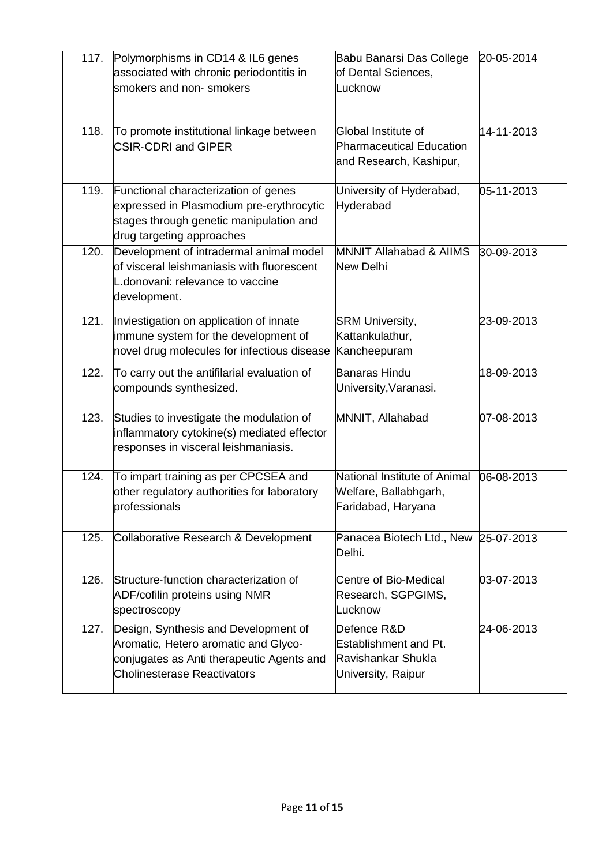| 117. | Polymorphisms in CD14 & IL6 genes<br>associated with chronic periodontitis in<br>smokers and non-smokers                                                        | Babu Banarsi Das College<br>of Dental Sciences,<br>Lucknow                        | 20-05-2014 |
|------|-----------------------------------------------------------------------------------------------------------------------------------------------------------------|-----------------------------------------------------------------------------------|------------|
| 118. | To promote institutional linkage between<br><b>CSIR-CDRI and GIPER</b>                                                                                          | Global Institute of<br><b>Pharmaceutical Education</b><br>and Research, Kashipur, | 14-11-2013 |
| 119. | Functional characterization of genes<br>expressed in Plasmodium pre-erythrocytic<br>stages through genetic manipulation and<br>drug targeting approaches        | University of Hyderabad,<br>Hyderabad                                             | 05-11-2013 |
| 120. | Development of intradermal animal model<br>of visceral leishmaniasis with fluorescent<br>donovani: relevance to vaccine<br>development.                         | <b>MNNIT Allahabad &amp; AIIMS</b><br>New Delhi                                   | 30-09-2013 |
| 121. | Inviestigation on application of innate<br>immune system for the development of<br>novel drug molecules for infectious disease                                  | <b>SRM University,</b><br>Kattankulathur,<br>Kancheepuram                         | 23-09-2013 |
| 122. | To carry out the antifilarial evaluation of<br>compounds synthesized.                                                                                           | Banaras Hindu<br>University, Varanasi.                                            | 18-09-2013 |
| 123. | Studies to investigate the modulation of<br>inflammatory cytokine(s) mediated effector<br>responses in visceral leishmaniasis.                                  | MNNIT, Allahabad                                                                  | 07-08-2013 |
| 124. | To impart training as per CPCSEA and<br>other regulatory authorities for laboratory<br>professionals                                                            | National Institute of Animal<br>Welfare, Ballabhgarh,<br>Faridabad, Haryana       | 06-08-2013 |
| 125. | Collaborative Research & Development                                                                                                                            | Panacea Biotech Ltd., New 25-07-2013<br>Delhi.                                    |            |
| 126. | Structure-function characterization of<br>ADF/cofilin proteins using NMR<br>spectroscopy                                                                        | Centre of Bio-Medical<br>Research, SGPGIMS,<br>Lucknow                            | 03-07-2013 |
| 127. | Design, Synthesis and Development of<br>Aromatic, Hetero aromatic and Glyco-<br>conjugates as Anti therapeutic Agents and<br><b>Cholinesterase Reactivators</b> | Defence R&D<br>Establishment and Pt.<br>Ravishankar Shukla<br>University, Raipur  | 24-06-2013 |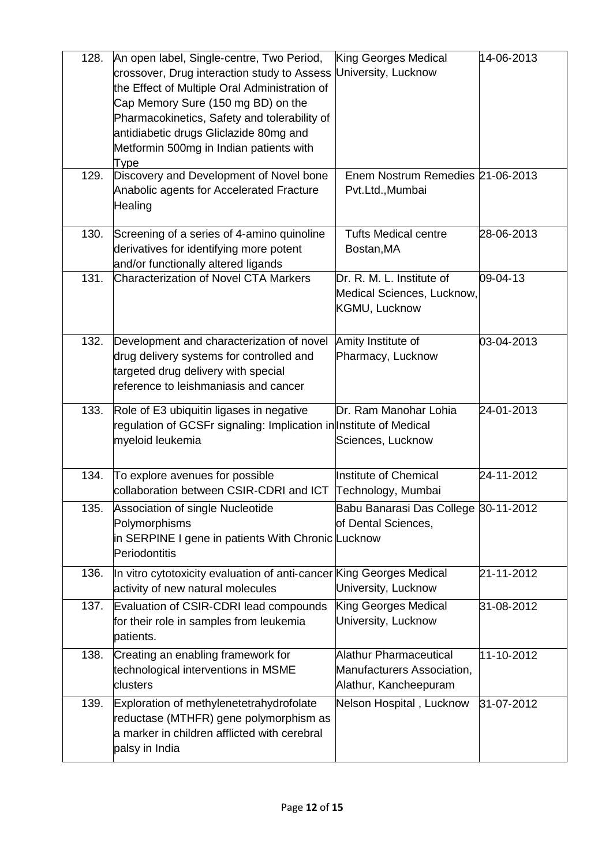| 128. | An open label, Single-centre, Two Period,<br>crossover, Drug interaction study to Assess                  | King Georges Medical<br>University, Lucknow | 14-06-2013 |
|------|-----------------------------------------------------------------------------------------------------------|---------------------------------------------|------------|
|      | the Effect of Multiple Oral Administration of                                                             |                                             |            |
|      | Cap Memory Sure (150 mg BD) on the                                                                        |                                             |            |
|      | Pharmacokinetics, Safety and tolerability of                                                              |                                             |            |
|      | antidiabetic drugs Gliclazide 80mg and                                                                    |                                             |            |
|      | Metformin 500mg in Indian patients with                                                                   |                                             |            |
|      | Type                                                                                                      |                                             |            |
| 129. | Discovery and Development of Novel bone                                                                   | Enem Nostrum Remedies 21-06-2013            |            |
|      | Anabolic agents for Accelerated Fracture                                                                  | Pvt.Ltd., Mumbai                            |            |
|      | Healing                                                                                                   |                                             |            |
|      |                                                                                                           |                                             |            |
| 130. | Screening of a series of 4-amino quinoline                                                                | <b>Tufts Medical centre</b>                 | 28-06-2013 |
|      | derivatives for identifying more potent                                                                   | Bostan, MA                                  |            |
|      | and/or functionally altered ligands                                                                       |                                             |            |
| 131. | <b>Characterization of Novel CTA Markers</b>                                                              | Dr. R. M. L. Institute of                   | 09-04-13   |
|      |                                                                                                           | Medical Sciences, Lucknow,                  |            |
|      |                                                                                                           | KGMU, Lucknow                               |            |
|      |                                                                                                           |                                             |            |
| 132. | Development and characterization of novel                                                                 | Amity Institute of                          | 03-04-2013 |
|      | drug delivery systems for controlled and                                                                  | Pharmacy, Lucknow                           |            |
|      | targeted drug delivery with special                                                                       |                                             |            |
|      | reference to leishmaniasis and cancer                                                                     |                                             |            |
|      |                                                                                                           |                                             |            |
|      |                                                                                                           |                                             |            |
| 133. | Role of E3 ubiquitin ligases in negative                                                                  | Dr. Ram Manohar Lohia                       | 24-01-2013 |
|      | regulation of GCSFr signaling: Implication in Institute of Medical                                        |                                             |            |
|      | myeloid leukemia                                                                                          | Sciences, Lucknow                           |            |
|      |                                                                                                           |                                             |            |
| 134. | To explore avenues for possible                                                                           | <b>Institute of Chemical</b>                | 24-11-2012 |
|      | collaboration between CSIR-CDRI and ICT                                                                   | Technology, Mumbai                          |            |
| 135. | Association of single Nucleotide                                                                          | Babu Banarasi Das College 30-11-2012        |            |
|      | Polymorphisms                                                                                             | of Dental Sciences,                         |            |
|      | in SERPINE I gene in patients With Chronic Lucknow                                                        |                                             |            |
|      | Periodontitis                                                                                             |                                             |            |
| 136. |                                                                                                           |                                             | 21-11-2012 |
|      | In vitro cytotoxicity evaluation of anti-cancer King Georges Medical<br>activity of new natural molecules | University, Lucknow                         |            |
|      |                                                                                                           |                                             |            |
| 137. | Evaluation of CSIR-CDRI lead compounds                                                                    | King Georges Medical                        | 31-08-2012 |
|      | for their role in samples from leukemia                                                                   | University, Lucknow                         |            |
|      | patients.                                                                                                 |                                             |            |
| 138. | Creating an enabling framework for                                                                        | <b>Alathur Pharmaceutical</b>               | 11-10-2012 |
|      | technological interventions in MSME                                                                       | Manufacturers Association,                  |            |
|      | clusters                                                                                                  | Alathur, Kancheepuram                       |            |
| 139. | Exploration of methylenetetrahydrofolate                                                                  | Nelson Hospital, Lucknow                    | 31-07-2012 |
|      | reductase (MTHFR) gene polymorphism as                                                                    |                                             |            |
|      | a marker in children afflicted with cerebral<br>palsy in India                                            |                                             |            |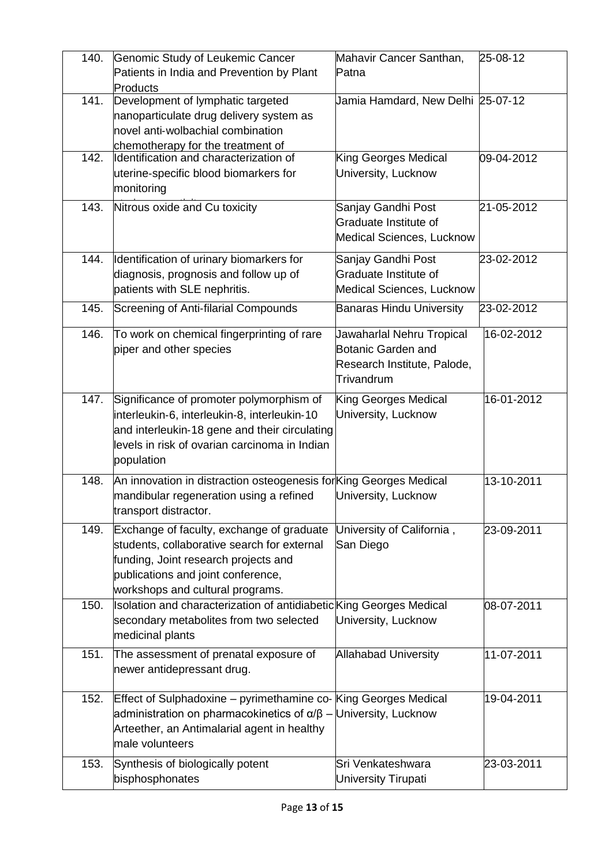| 140. | Genomic Study of Leukemic Cancer<br>Patients in India and Prevention by Plant<br>Products                                                                                                                  | Mahavir Cancer Santhan,<br>Patna                                                                    | 25-08-12   |
|------|------------------------------------------------------------------------------------------------------------------------------------------------------------------------------------------------------------|-----------------------------------------------------------------------------------------------------|------------|
| 141. | Development of lymphatic targeted<br>nanoparticulate drug delivery system as<br>novel anti-wolbachial combination<br>chemotherapy for the treatment of                                                     | Jamia Hamdard, New Delhi 25-07-12                                                                   |            |
| 142. | Identification and characterization of<br>uterine-specific blood biomarkers for<br>monitoring                                                                                                              | <b>King Georges Medical</b><br>University, Lucknow                                                  | 09-04-2012 |
| 143. | Nitrous oxide and Cu toxicity                                                                                                                                                                              | Sanjay Gandhi Post<br>Graduate Institute of<br>Medical Sciences, Lucknow                            | 21-05-2012 |
| 144. | Identification of urinary biomarkers for<br>diagnosis, prognosis and follow up of<br>patients with SLE nephritis.                                                                                          | Sanjay Gandhi Post<br>Graduate Institute of<br><b>Medical Sciences, Lucknow</b>                     | 23-02-2012 |
| 145. | Screening of Anti-filarial Compounds                                                                                                                                                                       | <b>Banaras Hindu University</b>                                                                     | 23-02-2012 |
| 146. | To work on chemical fingerprinting of rare<br>piper and other species                                                                                                                                      | Jawaharlal Nehru Tropical<br><b>Botanic Garden and</b><br>Research Institute, Palode,<br>Trivandrum | 16-02-2012 |
| 147. | Significance of promoter polymorphism of<br>interleukin-6, interleukin-8, interleukin-10<br>and interleukin-18 gene and their circulating<br>levels in risk of ovarian carcinoma in Indian<br>population   | King Georges Medical<br>University, Lucknow                                                         | 16-01-2012 |
| 148. | An innovation in distraction osteogenesis for King Georges Medical<br>mandibular regeneration using a refined<br>transport distractor.                                                                     | University, Lucknow                                                                                 | 13-10-2011 |
| 149. | Exchange of faculty, exchange of graduate<br>students, collaborative search for external<br>funding, Joint research projects and<br>publications and joint conference,<br>workshops and cultural programs. | University of California,<br>San Diego                                                              | 23-09-2011 |
| 150. | Isolation and characterization of antidiabetic King Georges Medical<br>secondary metabolites from two selected<br>medicinal plants                                                                         | University, Lucknow                                                                                 | 08-07-2011 |
| 151. | The assessment of prenatal exposure of<br>newer antidepressant drug.                                                                                                                                       | <b>Allahabad University</b>                                                                         | 11-07-2011 |
| 152. | Effect of Sulphadoxine - pyrimethamine co- King Georges Medical<br>administration on pharmacokinetics of α/β – University, Lucknow<br>Arteether, an Antimalarial agent in healthy<br>male volunteers       |                                                                                                     | 19-04-2011 |
| 153. | Synthesis of biologically potent<br>bisphosphonates                                                                                                                                                        | Sri Venkateshwara<br><b>University Tirupati</b>                                                     | 23-03-2011 |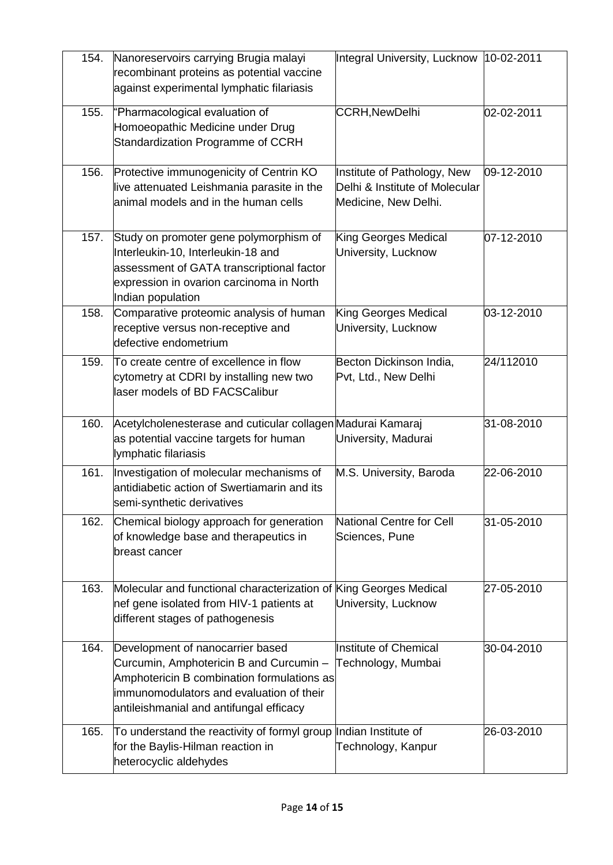| 154. | Nanoreservoirs carrying Brugia malayi<br>recombinant proteins as potential vaccine<br>against experimental lymphatic filariasis                                                                                  | Integral University, Lucknow 10-02-2011                                               |            |
|------|------------------------------------------------------------------------------------------------------------------------------------------------------------------------------------------------------------------|---------------------------------------------------------------------------------------|------------|
| 155. | "Pharmacological evaluation of<br>Homoeopathic Medicine under Drug<br>Standardization Programme of CCRH                                                                                                          | <b>CCRH, NewDelhi</b>                                                                 | 02-02-2011 |
| 156. | Protective immunogenicity of Centrin KO<br>live attenuated Leishmania parasite in the<br>animal models and in the human cells                                                                                    | Institute of Pathology, New<br>Delhi & Institute of Molecular<br>Medicine, New Delhi. | 09-12-2010 |
| 157. | Study on promoter gene polymorphism of<br>Interleukin-10, Interleukin-18 and<br>assessment of GATA transcriptional factor<br>expression in ovarion carcinoma in North<br>Indian population                       | King Georges Medical<br>University, Lucknow                                           | 07-12-2010 |
| 158. | Comparative proteomic analysis of human<br>receptive versus non-receptive and<br>defective endometrium                                                                                                           | King Georges Medical<br>University, Lucknow                                           | 03-12-2010 |
| 159. | To create centre of excellence in flow<br>cytometry at CDRI by installing new two<br>laser models of BD FACSCalibur                                                                                              | Becton Dickinson India,<br>Pvt, Ltd., New Delhi                                       | 24/112010  |
| 160. | Acetylcholenesterase and cuticular collagen Madurai Kamaraj<br>as potential vaccine targets for human<br>lymphatic filariasis                                                                                    | University, Madurai                                                                   | 31-08-2010 |
| 161. | Investigation of molecular mechanisms of<br>antidiabetic action of Swertiamarin and its<br>semi-synthetic derivatives                                                                                            | M.S. University, Baroda                                                               | 22-06-2010 |
| 162. | Chemical biology approach for generation<br>of knowledge base and therapeutics in<br>breast cancer                                                                                                               | <b>National Centre for Cell</b><br>Sciences, Pune                                     | 31-05-2010 |
| 163. | Molecular and functional characterization of King Georges Medical<br>nef gene isolated from HIV-1 patients at<br>different stages of pathogenesis                                                                | University, Lucknow                                                                   | 27-05-2010 |
| 164. | Development of nanocarrier based<br>Curcumin, Amphotericin B and Curcumin -<br>Amphotericin B combination formulations as<br>immunomodulators and evaluation of their<br>antileishmanial and antifungal efficacy | Institute of Chemical<br>Technology, Mumbai                                           | 30-04-2010 |
| 165. | To understand the reactivity of formyl group<br>for the Baylis-Hilman reaction in<br>heterocyclic aldehydes                                                                                                      | Indian Institute of<br>Technology, Kanpur                                             | 26-03-2010 |